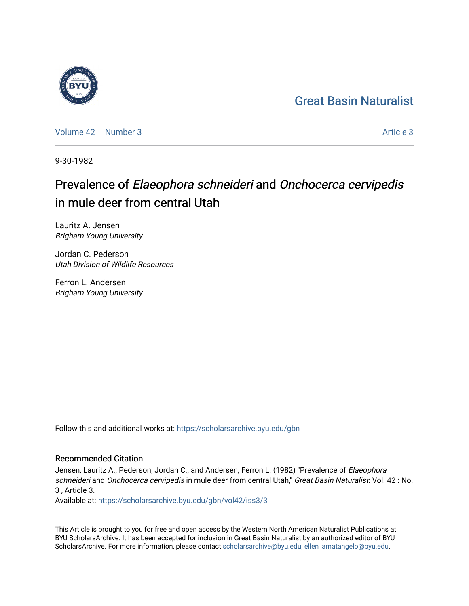## [Great Basin Naturalist](https://scholarsarchive.byu.edu/gbn)

[Volume 42](https://scholarsarchive.byu.edu/gbn/vol42) [Number 3](https://scholarsarchive.byu.edu/gbn/vol42/iss3) [Article 3](https://scholarsarchive.byu.edu/gbn/vol42/iss3/3) Article 3

9-30-1982

# Prevalence of Elaeophora schneideri and Onchocerca cervipedis in mule deer from central Utah

Lauritz A. Jensen Brigham Young University

Jordan C. Pederson Utah Division of Wildlife Resources

Ferron L. Andersen Brigham Young University

Follow this and additional works at: [https://scholarsarchive.byu.edu/gbn](https://scholarsarchive.byu.edu/gbn?utm_source=scholarsarchive.byu.edu%2Fgbn%2Fvol42%2Fiss3%2F3&utm_medium=PDF&utm_campaign=PDFCoverPages) 

### Recommended Citation

Jensen, Lauritz A.; Pederson, Jordan C.; and Andersen, Ferron L. (1982) "Prevalence of Elaeophora schneideri and Onchocerca cervipedis in mule deer from central Utah," Great Basin Naturalist: Vol. 42 : No. 3 , Article 3.

Available at: [https://scholarsarchive.byu.edu/gbn/vol42/iss3/3](https://scholarsarchive.byu.edu/gbn/vol42/iss3/3?utm_source=scholarsarchive.byu.edu%2Fgbn%2Fvol42%2Fiss3%2F3&utm_medium=PDF&utm_campaign=PDFCoverPages)

This Article is brought to you for free and open access by the Western North American Naturalist Publications at BYU ScholarsArchive. It has been accepted for inclusion in Great Basin Naturalist by an authorized editor of BYU ScholarsArchive. For more information, please contact [scholarsarchive@byu.edu, ellen\\_amatangelo@byu.edu.](mailto:scholarsarchive@byu.edu,%20ellen_amatangelo@byu.edu)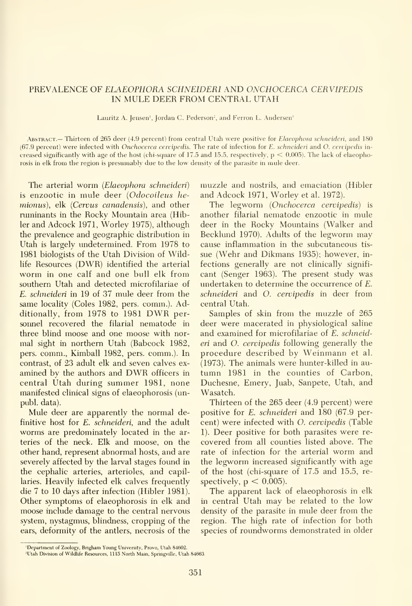#### PREVALENCE OF ELAEOPHORA SCHNEIDERI AND ONCHOCERCA CERVIPEDIS IN MULE DEER FROM CENTRAL UTAH

Lauritz A. Jensen', Jordan C. Pederson<sup>2</sup>, and Ferron L. Andersen'

ABSTRACT.— Thirteen of 265 deer (4.9 percent) from central Utah were positive for Elaeophora schneideri, and 180 (67.9 percent) were infected with Onchocerca cervipedis. The rate of infection for E. schneideri and O. cervipedis in creased significantly with age of the host (chi-square of 17.5 and 15.5, respectively,  $p < 0.005$ ). The lack of elaeophorosis in elk from the region is presumably due to the low density of the parasite in mule deer.

The arterial worm (Elaeophora schneideri) is enzootic in mule deer (Odocoileus hemionus), elk (Cervus canadensis), and other ruminants in the Rocky Mountain area (Hibler and Adcock 1971, Worley 1975), although the prevalence and geographic distribution in Utah is largely undetermined. From 1978 to 1981 biologists of the Utah Division of Wildlife Resources (DWR) identified the arterial worm in one calf and one bull elk from southern Utah and detected microfilariae of E. schneideri in 19 of 37 mule deer from the same locality (Coles 1982, pers. comm.). Additionally, from <sup>1978</sup> to <sup>1981</sup> DWR personnel recovered the filarial nematode in three blind moose and one moose with nor mal sight in northern Utah (Babcock 1982, pers. comm., Kimball 1982, pers. comm.). In contrast, of 23 adult elk and seven calves ex amined by the authors and DWR officers in central Utah during summer 1981, none manifested clinical signs of elaeophorosis (unpubl. data).

Mule deer are apparently the normal definitive host for E. schneideri, and the adult worms are predominately located in the arteries of the neck. Elk and moose, on the other hand, represent abnormal hosts, and are severely affected by the larval stages found in the cephalic arteries, arterioles, and capillaries. Heavily infected elk calves frequently die 7 to 10 days after infection (Hibler 1981). Other symptoms of elaeophorosis in elk and moose include damage to the central nervous system, nystagmus, blindness, cropping of the ears, deformity of the antlers, necrosis of the

muzzle and nostrils, and emaciation (Hibler and Adcock 1971, Worley et al. 1972).

The legworm (Onchocerca cervipedis) is another filarial nematode enzootic in mule deer in the Rocky Mountains (Walker and Becklund 1970). Adults of the legworm may cause inflammation in the subcutaneous tis sue (Wehr and Dikmans 1935); however, in fections generally are not clinically signifi cant (Senger 1963). The present study was undertaken to determine the occurrence of E. schneideri and O. cervipedis in deer from central Utah.

Samples of skin from the muzzle of 265 deer were macerated in physiological saline and examined for microfilariae of E. schneideri and O. cervipedis following generally the procedure described by Weinmann et al. (1973). The animals were hunter-killed in au tumn 1981 in the counties of Carbon, Duchesne, Emery, Juab, Sanpete, Utah, and Wasatch.

Thirteen of the 265 deer (4.9 percent) were positive for E. schneideri and 180 (67.9 percent) were infected with O. cervipedis (Table 1). Deer positive for both parasites were re covered from all counties listed above. The rate of infection for the arterial worm and the legworm increased significantly with age of the host (chi-square of 17.5 and 15.5, re spectively,  $p < 0.005$ ).

The apparent lack of elaeophorosis in elk in central Utah may be related to the low density of the parasite in mule deer from the region. The high rate of infection for both species of roundworms demonstrated in older

<sup>&#</sup>x27;Department of Zoology, Brigham Young University, Provo, Utah 84602.

Utah Division of Wildlife Resources, 1115 North Main. Springville, Utah 84663.